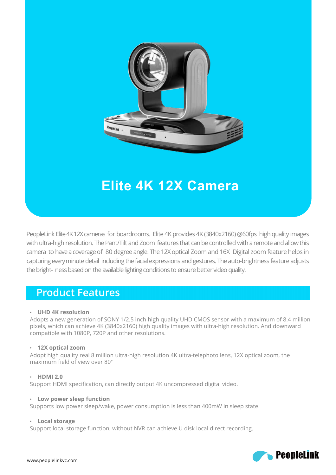

PeopleLink Elite 4K12X cameras for boardrooms. Elite 4K provides 4K (3840x2160) @60fps high quality images with ultra-high resolution. The Pant/Tilt and Zoom features that can be controlled with a remote and allow this camera to have a coverage of 80 degree angle. The 12X optical Zoom and 16X Digital zoom feature helps in capturing every minute detail including the facial expressions and gestures. The auto-brightness feature adjusts **Elite 4K 12X Camera**<br>PeopleLink Elite 4K 12X cameras for boardrooms. Elite 4K provides 4K (3840x2160) @60fps high quality images<br>with ultra-high resolution. The Pant/Tilt and Zoom features that can be controlled with a re

## **Product Features**

### • **UHD 4K resolution**

Adopts a new generation of SONY 1/2.5 inch high quality UHD CMOS sensor with a maximum of 8.4 million pixels, which can achieve 4K (3840x2160) high quality images with ultra-high resolution. And downward compatible with 1080P, 720P and other resolutions.

### • **12X optical zoom**

Adopt high quality real 8 million ultra-high resolution 4K ultra-telephoto lens, 12X optical zoom, the maximum field of view over 80°

### • **HDMI 2.0**

Support HDMI specification, can directly output 4K uncompressed digital video.

#### • **Low power sleep function**

Supports low power sleep/wake, power consumption is less than 400mW in sleep state.

#### • **Local storage**

Support local storage function, without NVR can achieve U disk local direct recording.

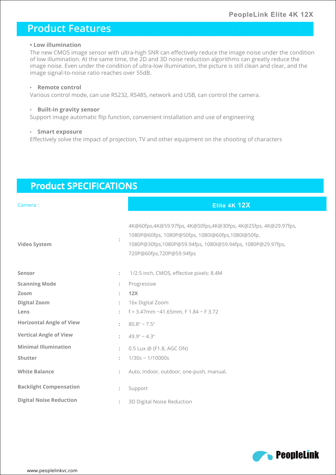# **Product Features**

#### **• Low illumination**

The new CMOS image sensor with ultra-high SNR can effectively reduce the image noise under the condition of low illumination. At the same time, the 2D and 3D noise reduction algorithms can greatly reduce the image noise. Even under the condition of ultra-low illumination, the picture is still clean and clear, and the image signal-to-noise ratio reaches over 55dB.

#### • **Remote control**

Various control mode, can use RS232, RS485, network and USB, can control the camera.

#### • **Built-in gravity sensor**

Support image automatic flip function, convenient installation and use of engineering

#### • **Smart exposure**

Effectively solve the impact of projection, TV and other equipment on the shooting of characters

# **Product SPECIFICATIONS**

| Camera:                         |                      | Elite 4K 12X                                                                                                                                                                                                     |
|---------------------------------|----------------------|------------------------------------------------------------------------------------------------------------------------------------------------------------------------------------------------------------------|
| <b>Video System</b>             |                      | 4K@60fps,4K@59.97fps, 4K@50fps,4K@30fps, 4K@25fps, 4K@29.97fps,<br>1080P@60fps, 1080P@50fps, 1080I@60fps, 1080I@50fp,<br>1080P@30fps,1080P@59.94fps, 1080I@59.94fps, 1080P@29.97fps,<br>720P@60fps,720P@59.94fps |
| Sensor                          | ÷                    | 1/2.5 inch, CMOS, effective pixels: 8.4M                                                                                                                                                                         |
| <b>Scanning Mode</b>            |                      | Progressive                                                                                                                                                                                                      |
| Zoom                            | $\ddot{\phantom{a}}$ | 12X                                                                                                                                                                                                              |
| <b>Digital Zoom</b>             |                      | 16x Digital Zoom                                                                                                                                                                                                 |
| Lens                            |                      | $f = 3.47$ mm ~41.65mm, F 1.84 ~ F 3.72                                                                                                                                                                          |
| <b>Horizontal Angle of View</b> |                      | $80.8^{\circ} \sim 7.5^{\circ}$                                                                                                                                                                                  |
| <b>Vertical Angle of View</b>   |                      | $49.9^{\circ} \sim 4.3^{\circ}$                                                                                                                                                                                  |
| <b>Minimal Illumination</b>     |                      | 0.5 Lux @ (F1.8, AGC ON)                                                                                                                                                                                         |
| Shutter                         |                      | $1/30s \sim 1/10000s$                                                                                                                                                                                            |
| <b>White Balance</b>            |                      | Auto, indoor, outdoor, one-push, manual,                                                                                                                                                                         |
| <b>Backlight Compensation</b>   |                      | Support                                                                                                                                                                                                          |
| <b>Digital Noise Reduction</b>  |                      | 3D Digital Noise Reduction                                                                                                                                                                                       |

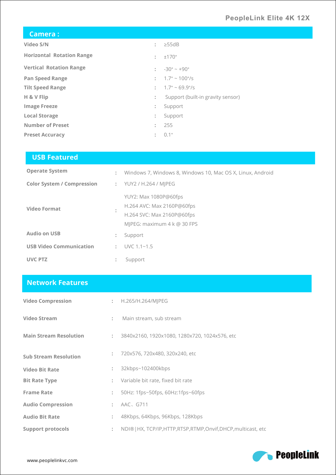| Camera:                          |                      |                                     |
|----------------------------------|----------------------|-------------------------------------|
| Video S/N                        | ÷                    | $\geq$ 55dB                         |
| <b>Horizontal Rotation Range</b> | ÷                    | ±170°                               |
| <b>Vertical Rotation Range</b>   | ÷                    | $-30^{\circ} \sim +90^{\circ}$      |
| <b>Pan Speed Range</b>           | $\ddot{\phantom{a}}$ | $1.7^{\circ} \sim 100^{\circ}/s$    |
| <b>Tilt Speed Range</b>          |                      | $: 1.7^{\circ} \sim 69.9^{\circ}/s$ |
| H & V Flip                       | ÷                    | Support (built-in gravity sensor)   |
| <b>Image Freeze</b>              | ÷                    | Support                             |
| <b>Local Storage</b>             | ÷                    | Support                             |
| <b>Number of Preset</b>          | ÷                    | 255                                 |
| <b>Preset Accuracy</b>           | ÷                    | $0.1^{\circ}$                       |

| <b>USB Featured</b> |
|---------------------|
|---------------------|

| <b>Operate System</b>             | ÷         | Windows 7, Windows 8, Windows 10, Mac OS X, Linux, Android                                                                   |
|-----------------------------------|-----------|------------------------------------------------------------------------------------------------------------------------------|
| <b>Color System / Compression</b> |           | : YUY2 / H.264 / MIPEG                                                                                                       |
| <b>Video Format</b>               | $\sim$    | YUY2: Max 1080P@60fps<br>H.264 AVC: Max 2160P@60fps<br>H.264 SVC: Max 2160P@60fps<br>MIPEG: maximum $4 \kappa \omega 30$ FPS |
| <b>Audio on USB</b>               |           | Support                                                                                                                      |
| <b>USB Video Communication</b>    | ÷         | $UVC$ 1.1~1.5                                                                                                                |
| <b>UVC PTZ</b>                    | $\bullet$ | Support                                                                                                                      |

### **Network Features**

| <b>Video Compression</b>      |                          | : H.265/H.264/MIPEG                                              |
|-------------------------------|--------------------------|------------------------------------------------------------------|
| <b>Video Stream</b>           | $\mathcal{L}_{\rm{max}}$ | Main stream, sub stream                                          |
| <b>Main Stream Resolution</b> | $\mathcal{L}_{\rm{max}}$ | 3840x2160, 1920x1080, 1280x720, 1024x576, etc                    |
| <b>Sub Stream Resolution</b>  | $\ddot{\phantom{a}}$     | 720x576, 720x480, 320x240, etc                                   |
| <b>Video Bit Rate</b>         | ÷                        | 32kbps~102400kbps                                                |
| <b>Bit Rate Type</b>          |                          | : Variable bit rate, fixed bit rate                              |
| <b>Frame Rate</b>             | $\ddot{\phantom{a}}$     | 50Hz: 1fps~50fps, 60Hz:1fps~60fps                                |
| <b>Audio Compression</b>      |                          | : AAC, G711                                                      |
| <b>Audio Bit Rate</b>         | ÷                        | 48Kbps, 64Kbps, 96Kbps, 128Kbps                                  |
| <b>Support protocols</b>      | ÷                        | NDI®   HX, TCP/IP, HTTP, RTSP, RTMP, Onvif, DHCP, multicast, etc |